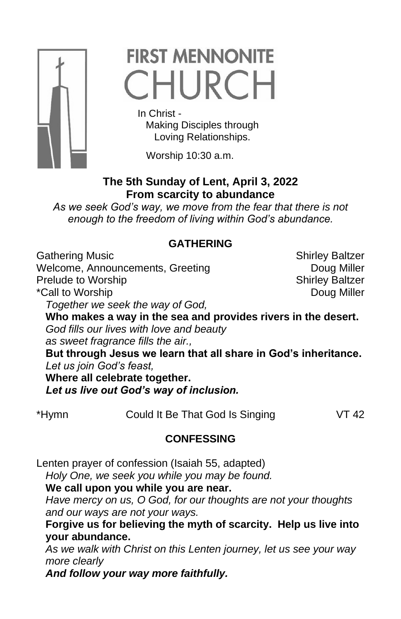

# **FIRST MENNONITE** CHURCH

In Christ -

 Making Disciples through Loving Relationships.

Worship 10:30 a.m.

## **The 5th Sunday of Lent, April 3, 2022 From scarcity to abundance**

*As we seek God's way, we move from the fear that there is not enough to the freedom of living within God's abundance.*

### **GATHERING**

Gathering Music **Shirley Baltzer** Shirley Baltzer

Welcome, Announcements, Greeting **Example 20** Doug Miller Prelude to Worship New Shirley Baltzer \*Call to Worship **Doug Miller** 

*Together we seek the way of God,*

**Who makes a way in the sea and provides rivers in the desert.** *God fills our lives with love and beauty as sweet fragrance fills the air.,*

**But through Jesus we learn that all share in God's inheritance.** *Let us join God's feast,*

**Where all celebrate together.**

*Let us live out God's way of inclusion.*

\*Hymn Could It Be That God Is Singing VT 42

# **CONFESSING**

Lenten prayer of confession (Isaiah 55, adapted) *Holy One, we seek you while you may be found.* **We call upon you while you are near.**

*Have mercy on us, O God, for our thoughts are not your thoughts and our ways are not your ways.*

**Forgive us for believing the myth of scarcity. Help us live into your abundance.**

*As we walk with Christ on this Lenten journey, let us see your way more clearly*

*And follow your way more faithfully.*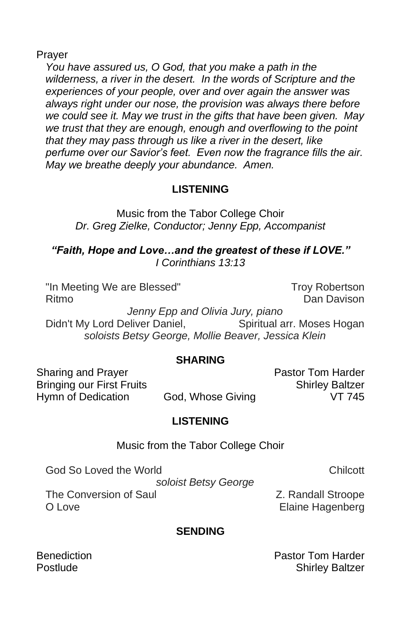Prayer

*You have assured us, O God, that you make a path in the wilderness, a river in the desert. In the words of Scripture and the experiences of your people, over and over again the answer was always right under our nose, the provision was always there before we could see it. May we trust in the gifts that have been given. May we trust that they are enough, enough and overflowing to the point that they may pass through us like a river in the desert, like perfume over our Savior's feet. Even now the fragrance fills the air. May we breathe deeply your abundance. Amen.*

#### **LISTENING**

Music from the Tabor College Choir *Dr. Greg Zielke, Conductor; Jenny Epp, Accompanist*

*"Faith, Hope and Love…and the greatest of these if LOVE." I Corinthians 13:13*

"In Meeting We are Blessed" Troy Robertson Ritmo **Dan Davison** Dan Davison *Jenny Epp and Olivia Jury, piano* Didn't My Lord Deliver Daniel, Spiritual arr. Moses Hogan *soloists Betsy George, Mollie Beaver, Jessica Klein*

#### **SHARING**

Sharing and Prayer **Pastor Tom Harder** Pastor Tom Harder Bringing our First Fruits Shirley Baltzer Hymn of Dedication God, Whose Giving VT 745

#### **LISTENING**

Music from the Tabor College Choir

God So Loved the World Chilcott Chilcott Chilcott Chilcott Chilcott Chilcott Chilcott Chilcott Chilcott Chilcott

*soloist Betsy George*

The Conversion of Saul **Z. Randall Stroope** O Love **Elaine Hagenberg** 

#### **SENDING**

Benediction **Pastor Tom Harder** Postlude **Shirley Baltzer**